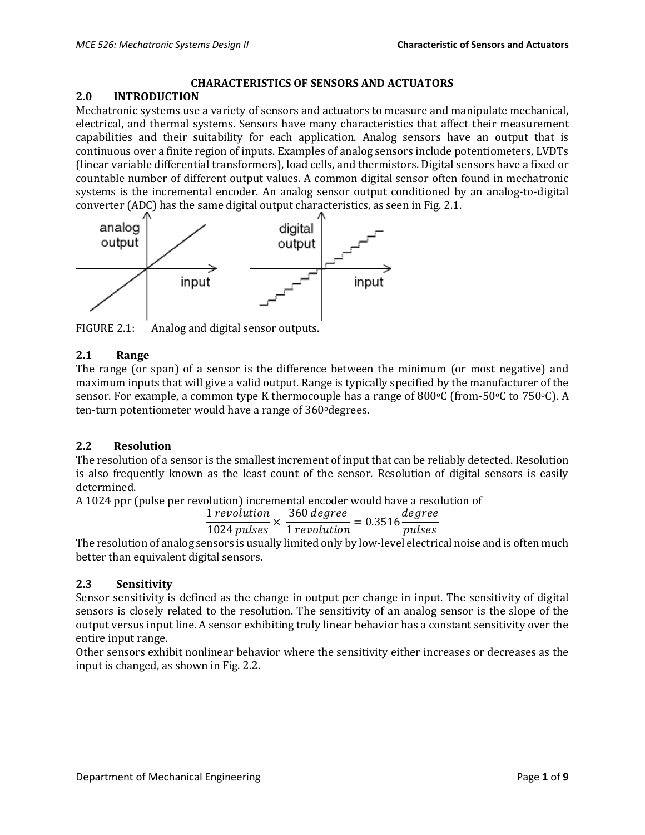#### **CHARACTERISTICS OF SENSORS AND ACTUATORS**

#### **2.0 INTRODUCTION**

Mechatronic systems use a variety of sensors and actuators to measure and manipulate mechanical, electrical, and thermal systems. Sensors have many characteristics that affect their measurement capabilities and their suitability for each application. Analog sensors have an output that is continuous over a finite region of inputs. Examples of analog sensors include potentiometers, LVDTs (linear variable differential transformers), load cells, and thermistors. Digital sensors have a fixed or countable number of different output values. A common digital sensor often found in mechatronic systems is the incremental encoder. An analog sensor output conditioned by an analog-to-digital converter (ADC) has the same digital output characteristics, as seen in Fig. 2.1.



FIGURE 2.1: Analog and digital sensor outputs.

#### **2.1 Range**

The range (or span) of a sensor is the difference between the minimum (or most negative) and maximum inputs that will give a valid output. Range is typically specified by the manufacturer of the sensor. For example, a common type K thermocouple has a range of 800 $\degree$ C (from-50 $\degree$ C to 750 $\degree$ C). A ten-turn potentiometer would have a range of 360° degrees.

#### **2.2 Resolution**

The resolution of a sensor is the smallest increment of input that can be reliably detected. Resolution is also frequently known as the least count of the sensor. Resolution of digital sensors is easily determined.

A 1024 ppr (pulse per revolution) incremental encoder would have a resolution of

$$
\frac{1 \, revolution}{1024 \, pulses} \times \frac{360 \, degree}{1 \, revolution} = 0.3516 \frac{degree}{pulses}
$$

The resolution of analog sensors is usually limited only by low-level electrical noise and is often much better than equivalent digital sensors.

## **2.3 Sensitivity**

Sensor sensitivity is defined as the change in output per change in input. The sensitivity of digital sensors is closely related to the resolution. The sensitivity of an analog sensor is the slope of the output versus input line. A sensor exhibiting truly linear behavior has a constant sensitivity over the entire input range.

Other sensors exhibit nonlinear behavior where the sensitivity either increases or decreases as the input is changed, as shown in Fig. 2.2.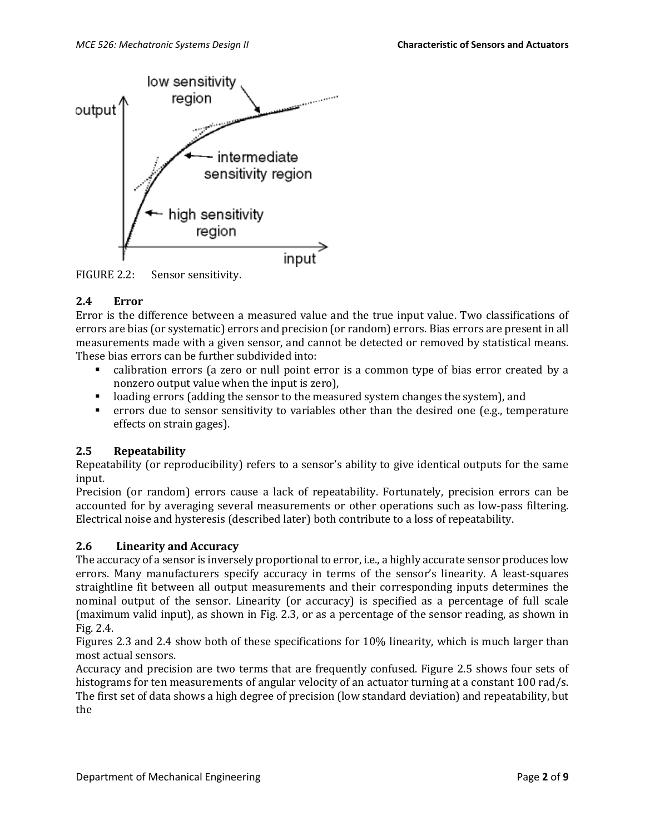

FIGURE 2.2: Sensor sensitivity.

# **2.4 Error**

Error is the difference between a measured value and the true input value. Two classifications of errors are bias (or systematic) errors and precision (or random) errors. Bias errors are present in all measurements made with a given sensor, and cannot be detected or removed by statistical means. These bias errors can be further subdivided into:

- calibration errors (a zero or null point error is a common type of bias error created by a nonzero output value when the input is zero),
- loading errors (adding the sensor to the measured system changes the system), and
- errors due to sensor sensitivity to variables other than the desired one (e.g., temperature effects on strain gages).

## **2.5 Repeatability**

Repeatability (or reproducibility) refers to a sensor's ability to give identical outputs for the same input.

Precision (or random) errors cause a lack of repeatability. Fortunately, precision errors can be accounted for by averaging several measurements or other operations such as low-pass filtering. Electrical noise and hysteresis (described later) both contribute to a loss of repeatability.

## **2.6 Linearity and Accuracy**

The accuracy of a sensor is inversely proportional to error, i.e., a highly accurate sensor produces low errors. Many manufacturers specify accuracy in terms of the sensor's linearity. A least-squares straightline fit between all output measurements and their corresponding inputs determines the nominal output of the sensor. Linearity (or accuracy) is specified as a percentage of full scale (maximum valid input), as shown in Fig. 2.3, or as a percentage of the sensor reading, as shown in Fig. 2.4.

Figures 2.3 and 2.4 show both of these specifications for 10% linearity, which is much larger than most actual sensors.

Accuracy and precision are two terms that are frequently confused. Figure 2.5 shows four sets of histograms for ten measurements of angular velocity of an actuator turning at a constant 100 rad/s. The first set of data shows a high degree of precision (low standard deviation) and repeatability, but the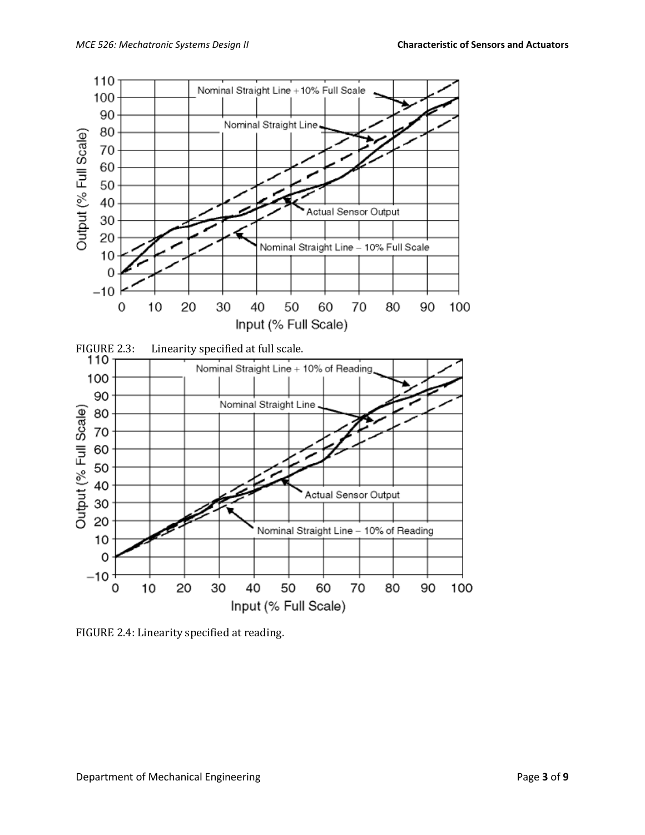

FIGURE 2.4: Linearity specified at reading.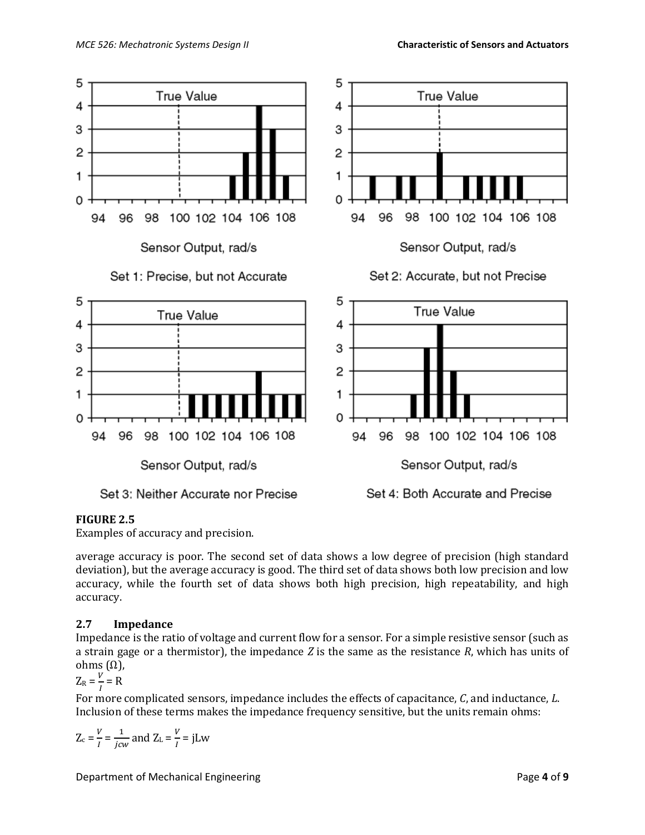

## **FIGURE 2.5**

Examples of accuracy and precision.

average accuracy is poor. The second set of data shows a low degree of precision (high standard deviation), but the average accuracy is good. The third set of data shows both low precision and low accuracy, while the fourth set of data shows both high precision, high repeatability, and high accuracy.

## **2.7 Impedance**

Impedance is the ratio of voltage and current flow for a sensor. For a simple resistive sensor (such as a strain gage or a thermistor), the impedance *Z* is the same as the resistance *R*, which has units of ohms (Ω),

 $Z_R = \frac{V}{I}$  $\frac{V}{I}$  = R

For more complicated sensors, impedance includes the effects of capacitance, *C*, and inductance, *L*. Inclusion of these terms makes the impedance frequency sensitive, but the units remain ohms:

$$
Z_c = \frac{V}{I} = \frac{1}{jcw}
$$
 and  $Z_L = \frac{V}{I} = jLw$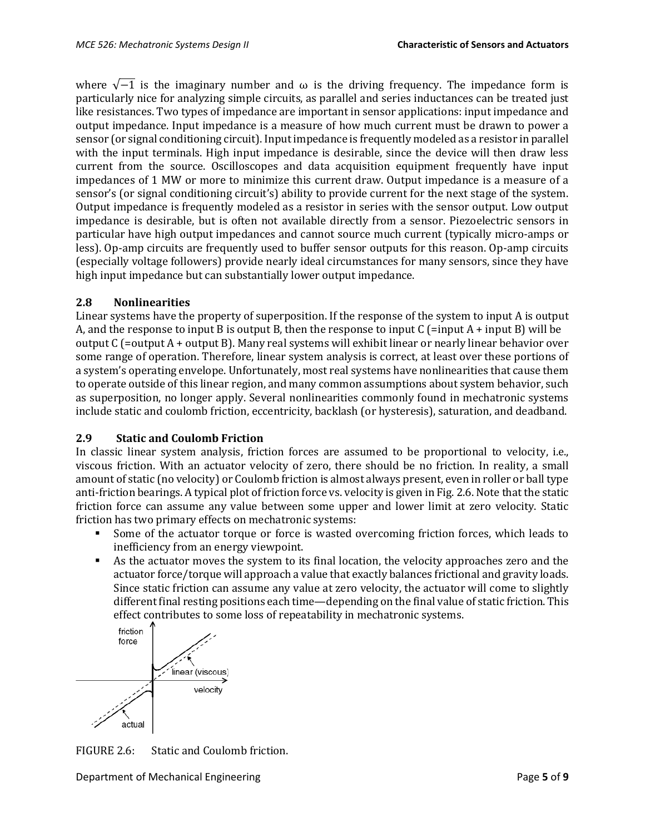where  $\sqrt{-1}$  is the imaginary number and  $\omega$  is the driving frequency. The impedance form is particularly nice for analyzing simple circuits, as parallel and series inductances can be treated just like resistances. Two types of impedance are important in sensor applications: input impedance and output impedance. Input impedance is a measure of how much current must be drawn to power a sensor (or signal conditioning circuit). Input impedance is frequently modeled as a resistor in parallel with the input terminals. High input impedance is desirable, since the device will then draw less current from the source. Oscilloscopes and data acquisition equipment frequently have input impedances of 1 MW or more to minimize this current draw. Output impedance is a measure of a sensor's (or signal conditioning circuit's) ability to provide current for the next stage of the system. Output impedance is frequently modeled as a resistor in series with the sensor output. Low output impedance is desirable, but is often not available directly from a sensor. Piezoelectric sensors in particular have high output impedances and cannot source much current (typically micro-amps or less). Op-amp circuits are frequently used to buffer sensor outputs for this reason. Op-amp circuits (especially voltage followers) provide nearly ideal circumstances for many sensors, since they have high input impedance but can substantially lower output impedance.

#### **2.8 Nonlinearities**

Linear systems have the property of superposition. If the response of the system to input A is output A, and the response to input B is output B, then the response to input C (=input A + input B) will be output C (=output A + output B). Many real systems will exhibit linear or nearly linear behavior over some range of operation. Therefore, linear system analysis is correct, at least over these portions of a system's operating envelope. Unfortunately, most real systems have nonlinearities that cause them to operate outside of this linear region, and many common assumptions about system behavior, such as superposition, no longer apply. Several nonlinearities commonly found in mechatronic systems include static and coulomb friction, eccentricity, backlash (or hysteresis), saturation, and deadband.

## **2.9 Static and Coulomb Friction**

In classic linear system analysis, friction forces are assumed to be proportional to velocity, i.e., viscous friction. With an actuator velocity of zero, there should be no friction. In reality, a small amount of static (no velocity) or Coulomb friction is almost always present, even in roller or ball type anti-friction bearings. A typical plot of friction force vs. velocity is given in Fig. 2.6. Note that the static friction force can assume any value between some upper and lower limit at zero velocity. Static friction has two primary effects on mechatronic systems:

- Some of the actuator torque or force is wasted overcoming friction forces, which leads to inefficiency from an energy viewpoint.
- As the actuator moves the system to its final location, the velocity approaches zero and the actuator force/torque will approach a value that exactly balances frictional and gravity loads. Since static friction can assume any value at zero velocity, the actuator will come to slightly different final resting positions each time—depending on the final value of static friction. This effect contributes to some loss of repeatability in mechatronic systems.



FIGURE 2.6: Static and Coulomb friction.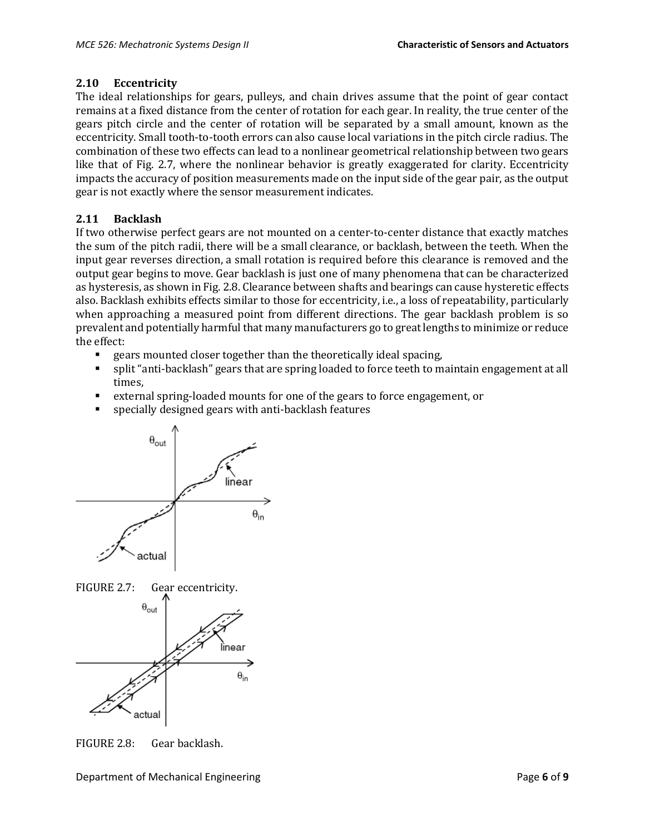## **2.10 Eccentricity**

The ideal relationships for gears, pulleys, and chain drives assume that the point of gear contact remains at a fixed distance from the center of rotation for each gear. In reality, the true center of the gears pitch circle and the center of rotation will be separated by a small amount, known as the eccentricity. Small tooth-to-tooth errors can also cause local variations in the pitch circle radius. The combination of these two effects can lead to a nonlinear geometrical relationship between two gears like that of Fig. 2.7, where the nonlinear behavior is greatly exaggerated for clarity. Eccentricity impacts the accuracy of position measurements made on the input side of the gear pair, as the output gear is not exactly where the sensor measurement indicates.

# **2.11 Backlash**

If two otherwise perfect gears are not mounted on a center-to-center distance that exactly matches the sum of the pitch radii, there will be a small clearance, or backlash, between the teeth. When the input gear reverses direction, a small rotation is required before this clearance is removed and the output gear begins to move. Gear backlash is just one of many phenomena that can be characterized as hysteresis, as shown in Fig. 2.8. Clearance between shafts and bearings can cause hysteretic effects also. Backlash exhibits effects similar to those for eccentricity, i.e., a loss of repeatability, particularly when approaching a measured point from different directions. The gear backlash problem is so prevalent and potentially harmful that many manufacturers go to great lengths to minimize or reduce the effect:

- gears mounted closer together than the theoretically ideal spacing,
- split "anti-backlash" gears that are spring loaded to force teeth to maintain engagement at all times,
- external spring-loaded mounts for one of the gears to force engagement, or
- specially designed gears with anti-backlash features





FIGURE 2.8: Gear backlash.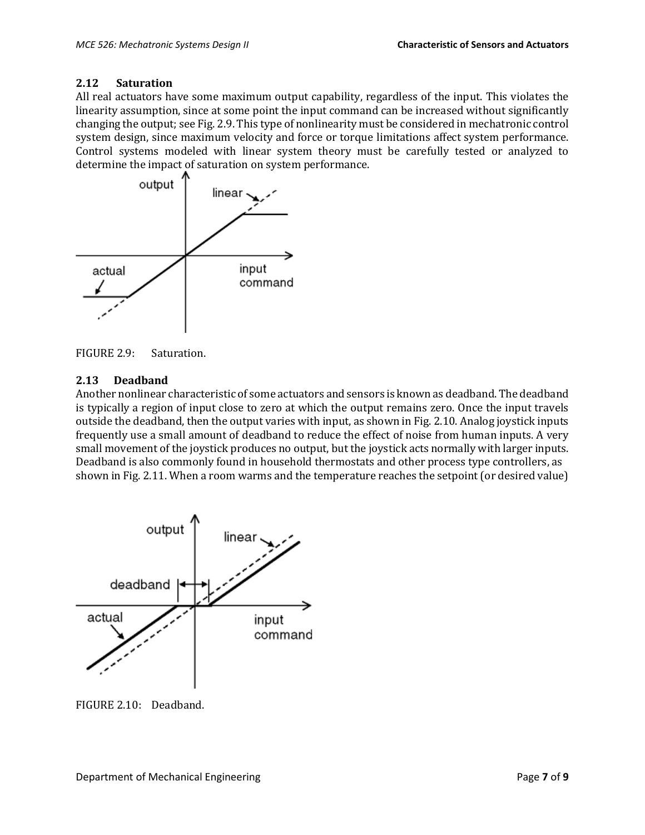## **2.12 Saturation**

All real actuators have some maximum output capability, regardless of the input. This violates the linearity assumption, since at some point the input command can be increased without significantly changing the output; see Fig. 2.9. This type of nonlinearity must be considered in mechatronic control system design, since maximum velocity and force or torque limitations affect system performance. Control systems modeled with linear system theory must be carefully tested or analyzed to determine the impact of saturation on system performance.



FIGURE 2.9: Saturation.

## **2.13 Deadband**

Another nonlinear characteristic of some actuators and sensors is known as deadband. The deadband is typically a region of input close to zero at which the output remains zero. Once the input travels outside the deadband, then the output varies with input, as shown in Fig. 2.10. Analog joystick inputs frequently use a small amount of deadband to reduce the effect of noise from human inputs. A very small movement of the joystick produces no output, but the joystick acts normally with larger inputs. Deadband is also commonly found in household thermostats and other process type controllers, as shown in Fig. 2.11. When a room warms and the temperature reaches the setpoint (or desired value)



FIGURE 2.10: Deadband.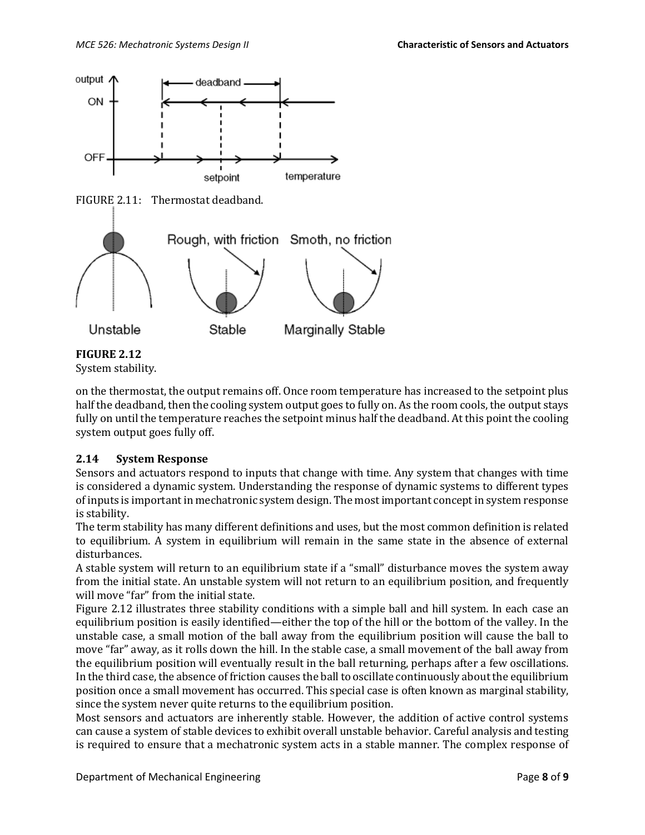

# **FIGURE 2.12**

System stability.

on the thermostat, the output remains off. Once room temperature has increased to the setpoint plus half the deadband, then the cooling system output goes to fully on. As the room cools, the output stays fully on until the temperature reaches the setpoint minus half the deadband. At this point the cooling system output goes fully off.

#### **2.14 System Response**

Sensors and actuators respond to inputs that change with time. Any system that changes with time is considered a dynamic system. Understanding the response of dynamic systems to different types of inputs is important in mechatronic system design. The most important concept in system response is stability.

The term stability has many different definitions and uses, but the most common definition is related to equilibrium. A system in equilibrium will remain in the same state in the absence of external disturbances.

A stable system will return to an equilibrium state if a "small" disturbance moves the system away from the initial state. An unstable system will not return to an equilibrium position, and frequently will move "far" from the initial state.

Figure 2.12 illustrates three stability conditions with a simple ball and hill system. In each case an equilibrium position is easily identified—either the top of the hill or the bottom of the valley. In the unstable case, a small motion of the ball away from the equilibrium position will cause the ball to move "far" away, as it rolls down the hill. In the stable case, a small movement of the ball away from the equilibrium position will eventually result in the ball returning, perhaps after a few oscillations. In the third case, the absence of friction causes the ball to oscillate continuously about the equilibrium position once a small movement has occurred. This special case is often known as marginal stability, since the system never quite returns to the equilibrium position.

Most sensors and actuators are inherently stable. However, the addition of active control systems can cause a system of stable devices to exhibit overall unstable behavior. Careful analysis and testing is required to ensure that a mechatronic system acts in a stable manner. The complex response of